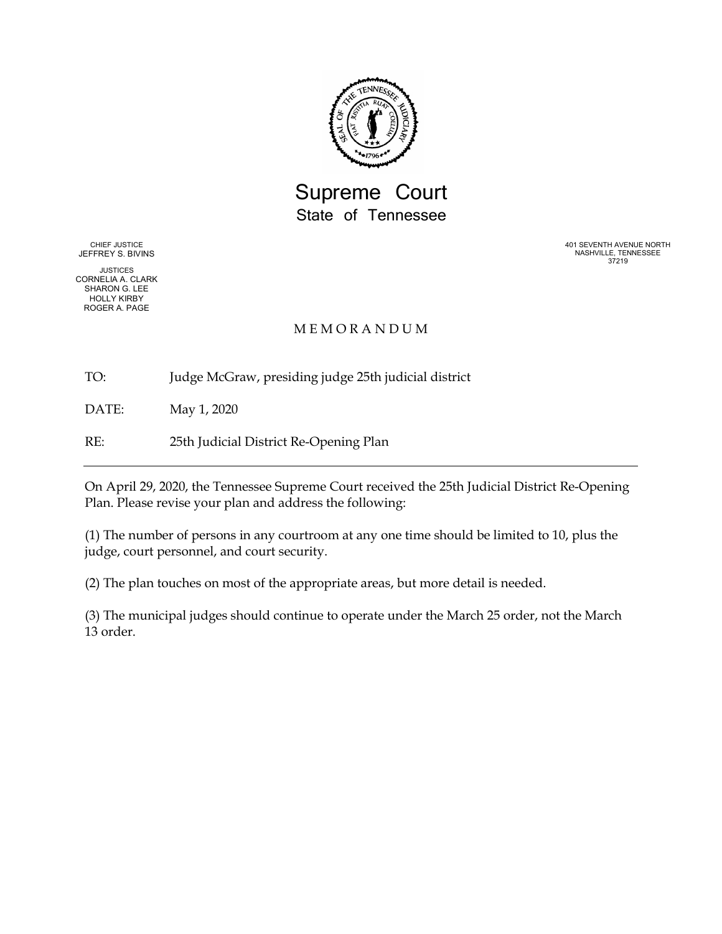

Supreme Court State of Tennessee

CHIEF JUSTICE JEFFREY S. BIVINS

JUSTICES CORNELIA A. CLARK SHARON G. LEE HOLLY KIRBY ROGER A. PAGE

401 SEVENTH AVENUE NORTH NASHVILLE, TENNESSEE 37219

## **MEMORANDUM**

TO: Judge McGraw, presiding judge 25th judicial district

DATE: May 1, 2020

RE: 25th Judicial District Re-Opening Plan

On April 29, 2020, the Tennessee Supreme Court received the 25th Judicial District Re-Opening Plan. Please revise your plan and address the following:

(1) The number of persons in any courtroom at any one time should be limited to 10, plus the judge, court personnel, and court security.

(2) The plan touches on most of the appropriate areas, but more detail is needed.

(3) The municipal judges should continue to operate under the March 25 order, not the March 13 order.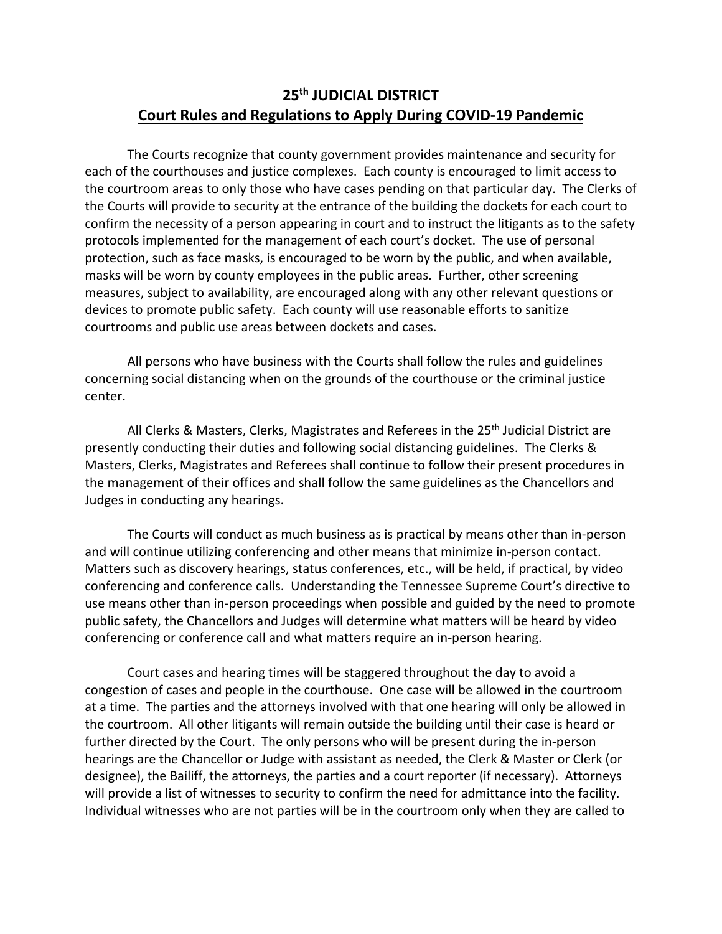## **25th JUDICIAL DISTRICT Court Rules and Regulations to Apply During COVID-19 Pandemic**

The Courts recognize that county government provides maintenance and security for each of the courthouses and justice complexes. Each county is encouraged to limit access to the courtroom areas to only those who have cases pending on that particular day. The Clerks of the Courts will provide to security at the entrance of the building the dockets for each court to confirm the necessity of a person appearing in court and to instruct the litigants as to the safety protocols implemented for the management of each court's docket. The use of personal protection, such as face masks, is encouraged to be worn by the public, and when available, masks will be worn by county employees in the public areas. Further, other screening measures, subject to availability, are encouraged along with any other relevant questions or devices to promote public safety. Each county will use reasonable efforts to sanitize courtrooms and public use areas between dockets and cases.

All persons who have business with the Courts shall follow the rules and guidelines concerning social distancing when on the grounds of the courthouse or the criminal justice center.

All Clerks & Masters, Clerks, Magistrates and Referees in the 25<sup>th</sup> Judicial District are presently conducting their duties and following social distancing guidelines. The Clerks & Masters, Clerks, Magistrates and Referees shall continue to follow their present procedures in the management of their offices and shall follow the same guidelines as the Chancellors and Judges in conducting any hearings.

The Courts will conduct as much business as is practical by means other than in-person and will continue utilizing conferencing and other means that minimize in-person contact. Matters such as discovery hearings, status conferences, etc., will be held, if practical, by video conferencing and conference calls. Understanding the Tennessee Supreme Court's directive to use means other than in-person proceedings when possible and guided by the need to promote public safety, the Chancellors and Judges will determine what matters will be heard by video conferencing or conference call and what matters require an in-person hearing.

Court cases and hearing times will be staggered throughout the day to avoid a congestion of cases and people in the courthouse. One case will be allowed in the courtroom at a time. The parties and the attorneys involved with that one hearing will only be allowed in the courtroom. All other litigants will remain outside the building until their case is heard or further directed by the Court. The only persons who will be present during the in-person hearings are the Chancellor or Judge with assistant as needed, the Clerk & Master or Clerk (or designee), the Bailiff, the attorneys, the parties and a court reporter (if necessary). Attorneys will provide a list of witnesses to security to confirm the need for admittance into the facility. Individual witnesses who are not parties will be in the courtroom only when they are called to